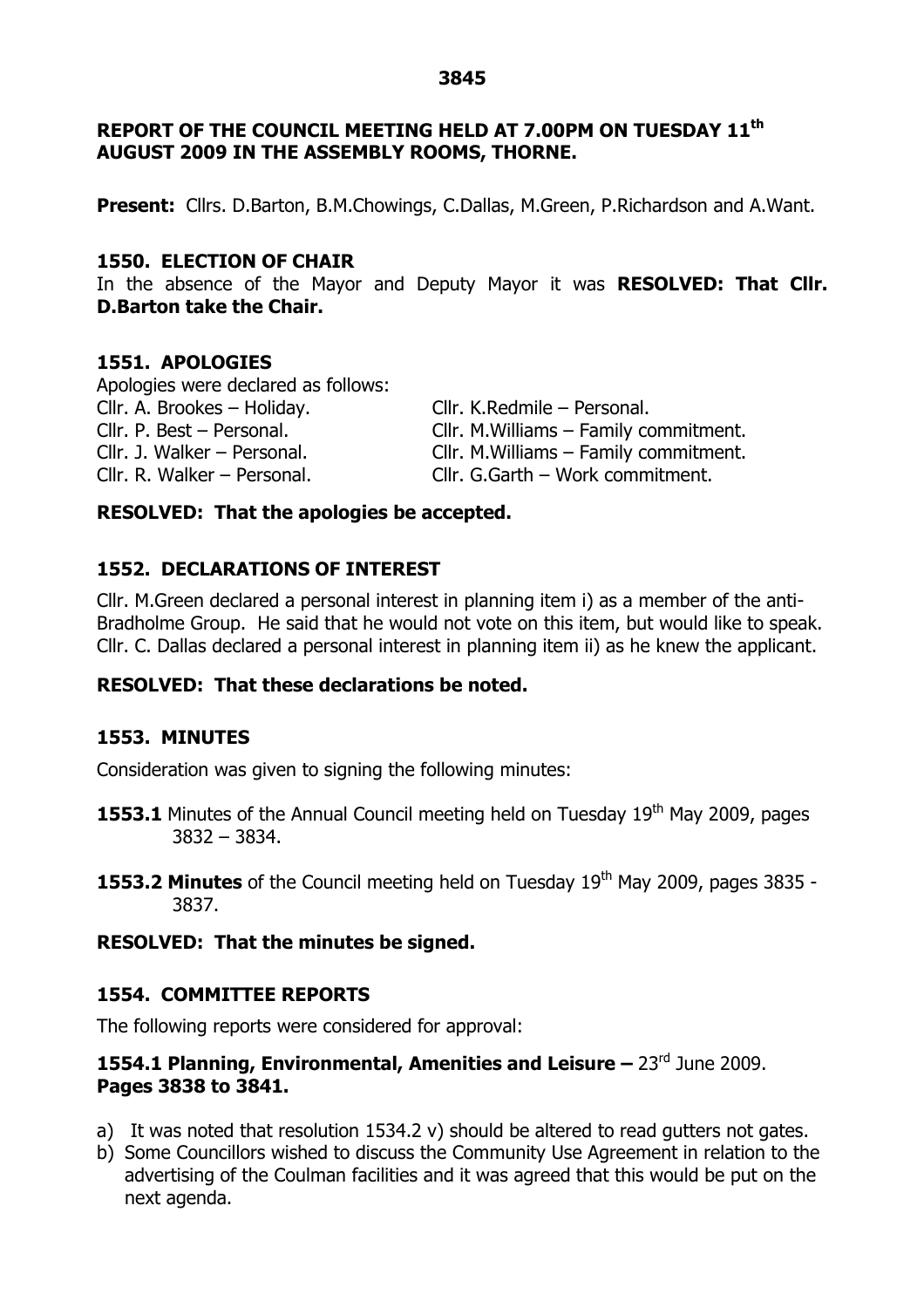## **REPORT OF THE COUNCIL MEETING HELD AT 7.00PM ON TUESDAY 11 th AUGUST 2009 IN THE ASSEMBLY ROOMS, THORNE.**

**Present:** Cllrs. D.Barton, B.M.Chowings, C.Dallas, M.Green, P.Richardson and A.Want.

#### **1550. ELECTION OF CHAIR**

In the absence of the Mayor and Deputy Mayor it was **RESOLVED: That Cllr. D.Barton take the Chair.**

#### **1551. APOLOGIES**

Apologies were declared as follows: Cllr. A. Brookes – Holiday. Cllr. K.Redmile – Personal. Cllr. P. Best –Personal. Cllr. M.Williams –Family commitment. Cllr. J. Walker –Personal. Cllr. M.Williams –Family commitment. Cllr. R. Walker –Personal. Cllr. G.Garth –Work commitment.

#### **RESOLVED: That the apologies be accepted.**

## **1552. DECLARATIONS OF INTEREST**

Cllr. M.Green declared a personal interest in planning item i) as a member of the anti-Bradholme Group. He said that he would not vote on this item, but would like to speak. Cllr. C. Dallas declared a personal interest in planning item ii) as he knew the applicant.

## **RESOLVED: That these declarations be noted.**

#### **1553. MINUTES**

Consideration was given to signing the following minutes:

- **1553.1** Minutes of the Annual Council meeting held on Tuesday 19<sup>th</sup> May 2009, pages 3832 –3834.
- **1553.2 Minutes** of the Council meeting held on Tuesday 19<sup>th</sup> May 2009, pages 3835 -3837.

## **RESOLVED: That the minutes be signed.**

## **1554. COMMITTEE REPORTS**

The following reports were considered for approval:

# **1554.1 Planning, Environmental, Amenities and Leisure –**23rd June 2009. **Pages 3838 to 3841.**

- a) It was noted that resolution 1534.2 v) should be altered to read gutters not gates.
- b) Some Councillors wished to discuss the Community Use Agreement in relation to the advertising of the Coulman facilities and it was agreed that this would be put on the next agenda.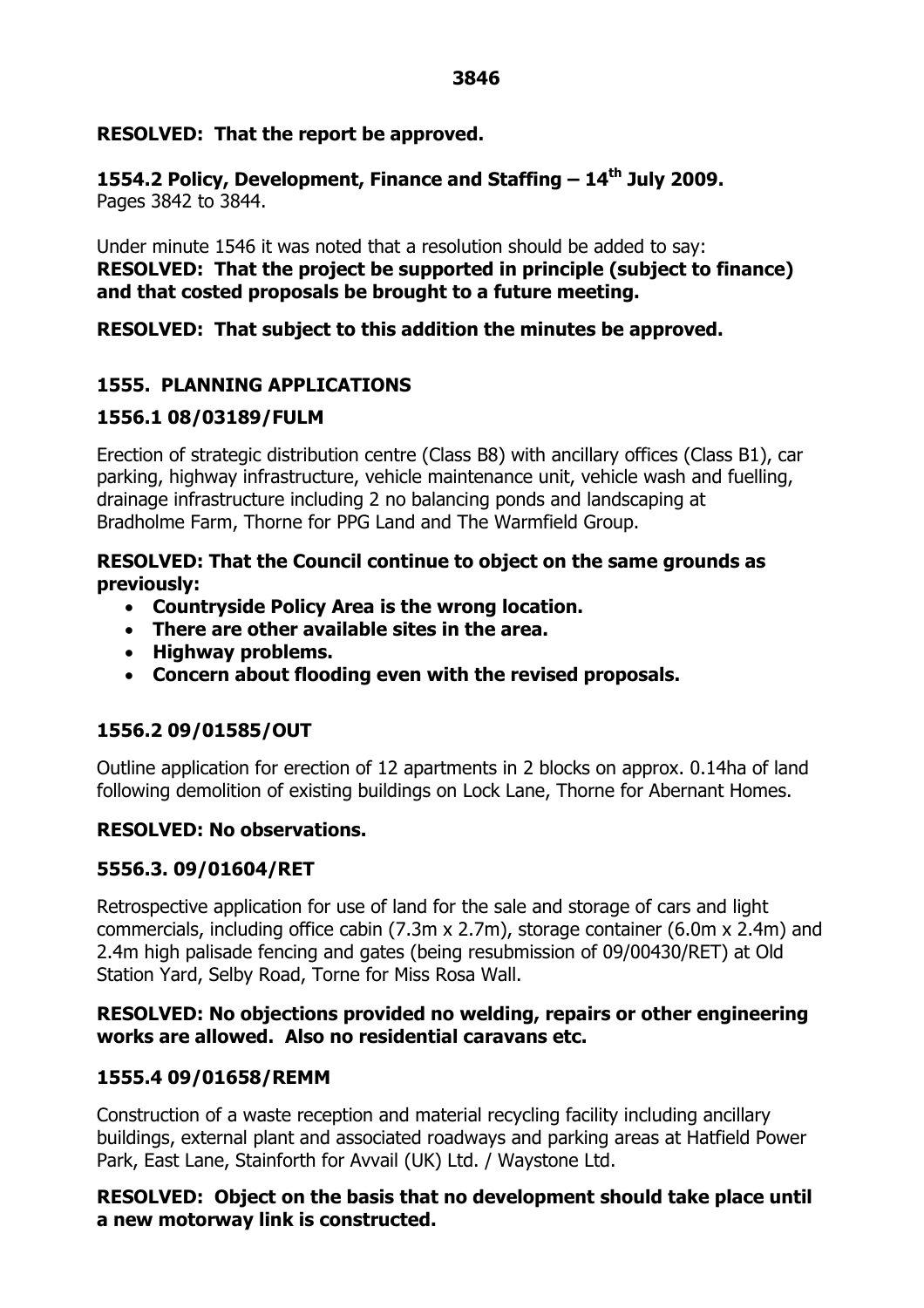#### **3846**

## **RESOLVED: That the report be approved.**

**1554.2 Policy, Development, Finance and Staffing –14 th July 2009.** Pages 3842 to 3844.

Under minute 1546 it was noted that a resolution should be added to say: **RESOLVED: That the project be supported in principle (subject to finance) and that costed proposals be brought to a future meeting.**

## **RESOLVED: That subject to this addition the minutes be approved.**

# **1555. PLANNING APPLICATIONS**

## **1556.1 08/03189/FULM**

Erection of strategic distribution centre (Class B8) with ancillary offices (Class B1), car parking, highway infrastructure, vehicle maintenance unit, vehicle wash and fuelling, drainage infrastructure including 2 no balancing ponds and landscaping at Bradholme Farm, Thorne for PPG Land and The Warmfield Group.

## **RESOLVED: That the Council continue to object on the same grounds as previously:**

- **Countryside Policy Area is the wrong location.**
- **There are other available sites in the area.**
- **Highway problems.**
- **Concern about flooding even with the revised proposals.**

# **1556.2 09/01585/OUT**

Outline application for erection of 12 apartments in 2 blocks on approx. 0.14ha of land following demolition of existing buildings on Lock Lane, Thorne for Abernant Homes.

## **RESOLVED: No observations.**

## **5556.3. 09/01604/RET**

Retrospective application for use of land for the sale and storage of cars and light commercials, including office cabin (7.3m x 2.7m), storage container (6.0m x 2.4m) and 2.4m high palisade fencing and gates (being resubmission of 09/00430/RET) at Old Station Yard, Selby Road, Torne for Miss Rosa Wall.

#### **RESOLVED: No objections provided no welding, repairs or other engineering works are allowed. Also no residential caravans etc.**

## **1555.4 09/01658/REMM**

Construction of a waste reception and material recycling facility including ancillary buildings, external plant and associated roadways and parking areas at Hatfield Power Park, East Lane, Stainforth for Avvail (UK) Ltd. / Waystone Ltd.

## **RESOLVED: Object on the basis that no development should take place until a new motorway link is constructed.**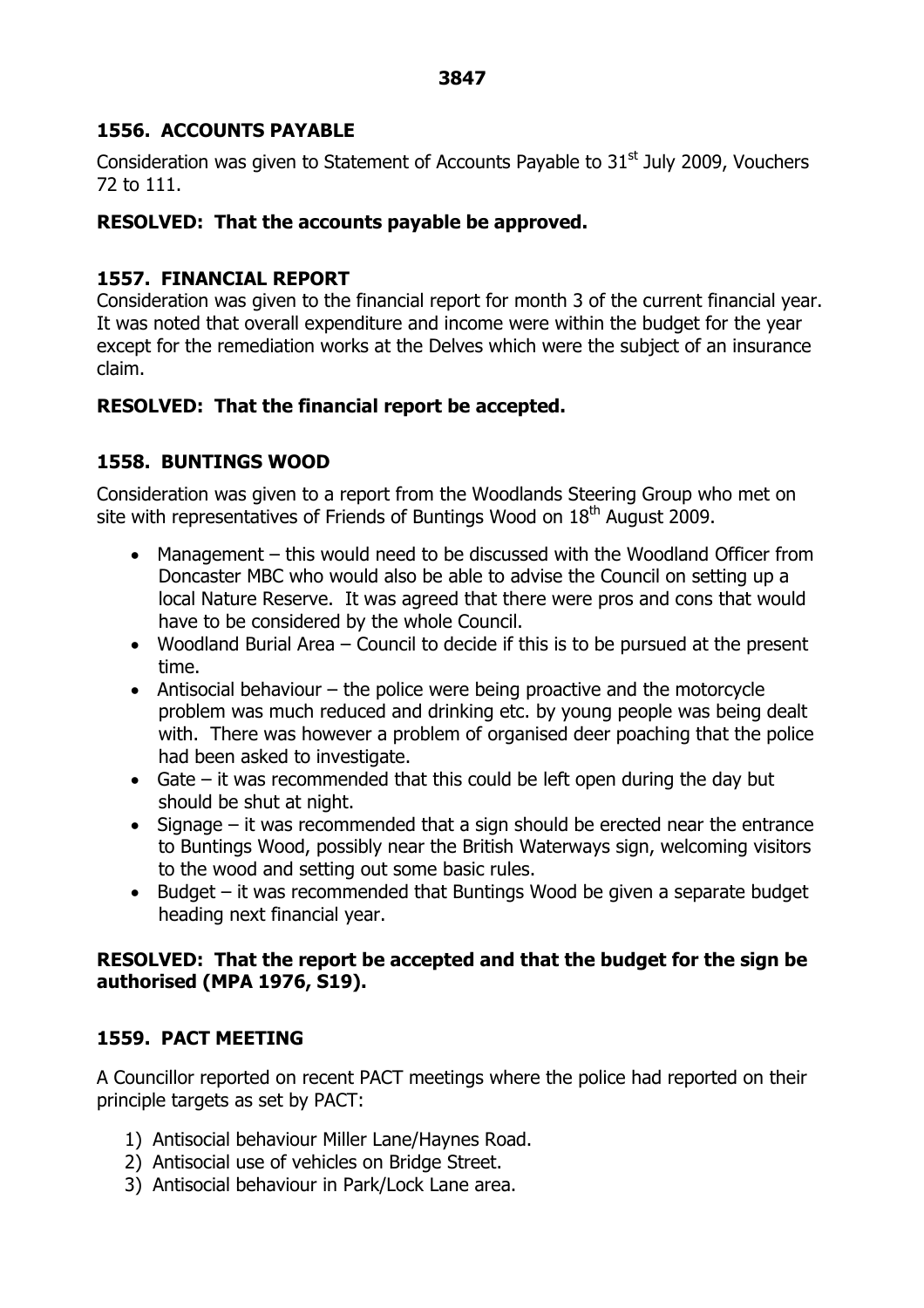#### **3847**

## **1556. ACCOUNTS PAYABLE**

Consideration was given to Statement of Accounts Payable to  $31<sup>st</sup>$  July 2009, Vouchers 72 to 111.

## **RESOLVED: That the accounts payable be approved.**

# **1557. FINANCIAL REPORT**

Consideration was given to the financial report for month 3 of the current financial year. It was noted that overall expenditure and income were within the budget for the year except for the remediation works at the Delves which were the subject of an insurance claim.

## **RESOLVED: That the financial report be accepted.**

# **1558. BUNTINGS WOOD**

Consideration was given to a report from the Woodlands Steering Group who met on site with representatives of Friends of Buntings Wood on  $18<sup>th</sup>$  August 2009.

- Management this would need to be discussed with the Woodland Officer from Doncaster MBC who would also be able to advise the Council on setting up a local Nature Reserve. It was agreed that there were pros and cons that would have to be considered by the whole Council.
- Woodland Burial Area Council to decide if this is to be pursued at the present time.
- Antisocial behaviour the police were being proactive and the motorcycle problem was much reduced and drinking etc. by young people was being dealt with. There was however a problem of organised deer poaching that the police had been asked to investigate.
- Gate it was recommended that this could be left open during the day but should be shut at night.
- Signage it was recommended that a sign should be erected near the entrance to Buntings Wood, possibly near the British Waterways sign, welcoming visitors to the wood and setting out some basic rules.
- $\bullet$  Budget it was recommended that Buntings Wood be given a separate budget heading next financial year.

## **RESOLVED: That the report be accepted and that the budget for the sign be authorised (MPA 1976, S19).**

## **1559. PACT MEETING**

A Councillor reported on recent PACT meetings where the police had reported on their principle targets as set by PACT:

- 1) Antisocial behaviour Miller Lane/Haynes Road.
- 2) Antisocial use of vehicles on Bridge Street.
- 3) Antisocial behaviour in Park/Lock Lane area.